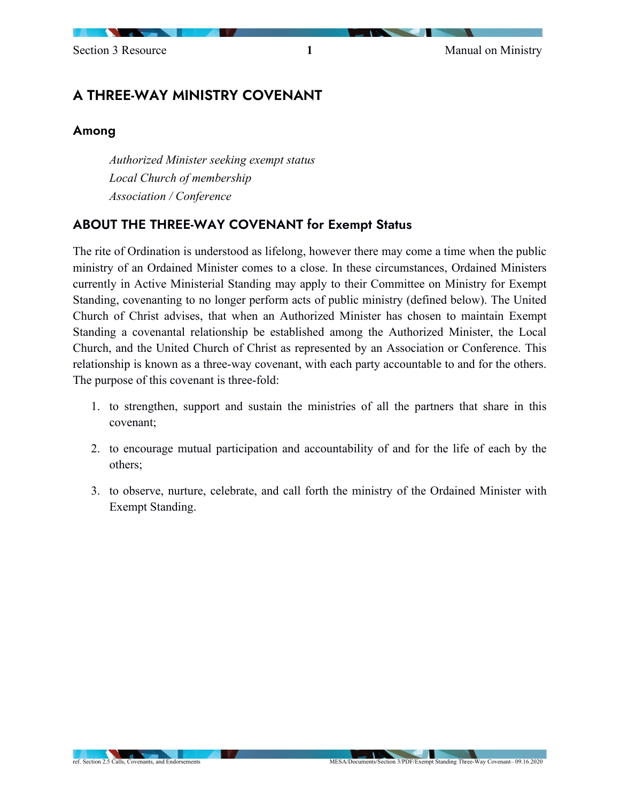$\overline{\phantom{a}}$ 

# A THREE-WAY MINISTRY COVENANT

#### Among

*Authorized Minister seeking exempt status Local Church of membership Association / Conference*

### ABOUT THE THREE-WAY COVENANT for Exempt Status

The rite of Ordination is understood as lifelong, however there may come a time when the public ministry of an Ordained Minister comes to a close. In these circumstances, Ordained Ministers currently in Active Ministerial Standing may apply to their Committee on Ministry for Exempt Standing, covenanting to no longer perform acts of public ministry (defined below). The United Church of Christ advises, that when an Authorized Minister has chosen to maintain Exempt Standing a covenantal relationship be established among the Authorized Minister, the Local Church, and the United Church of Christ as represented by an Association or Conference. This relationship is known as a three-way covenant, with each party accountable to and for the others. The purpose of this covenant is three-fold:

- 1. to strengthen, support and sustain the ministries of all the partners that share in this covenant;
- 2. to encourage mutual participation and accountability of and for the life of each by the others;
- 3. to observe, nurture, celebrate, and call forth the ministry of the Ordained Minister with Exempt Standing.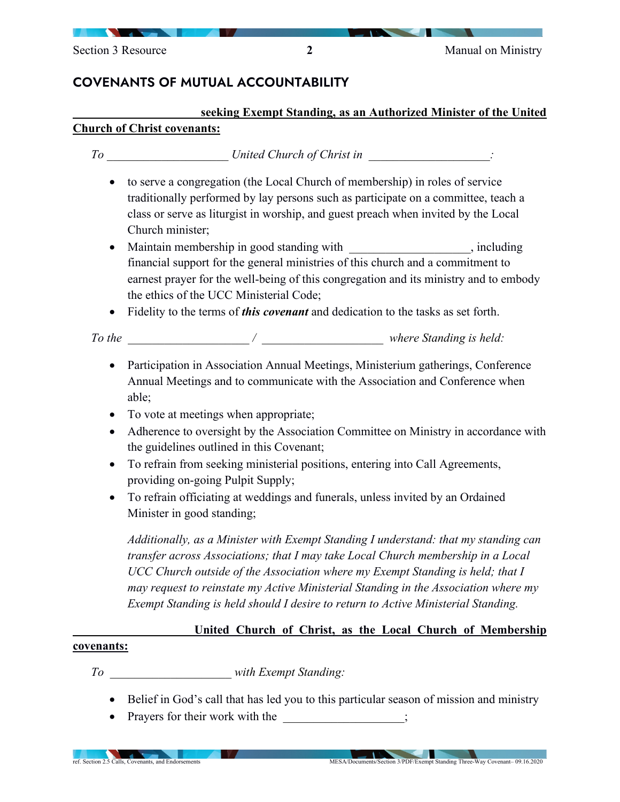## COVENANTS OF MUTUAL ACCOUNTABILITY

#### **\_\_\_\_\_\_\_\_\_\_\_\_\_\_\_\_\_\_\_\_ seeking Exempt Standing, as an Authorized Minister of the United Church of Christ covenants:**

#### *To \_\_\_\_\_\_\_\_\_\_\_\_\_\_\_\_\_\_\_\_ United Church of Christ in \_\_\_\_\_\_\_\_\_\_\_\_\_\_\_\_\_\_\_\_:*

- to serve a congregation (the Local Church of membership) in roles of service traditionally performed by lay persons such as participate on a committee, teach a class or serve as liturgist in worship, and guest preach when invited by the Local Church minister;
- Maintain membership in good standing with *discriminant* including  $\ddot{\theta}$ , including financial support for the general ministries of this church and a commitment to earnest prayer for the well-being of this congregation and its ministry and to embody the ethics of the UCC Ministerial Code;
- Fidelity to the terms of *this covenant* and dedication to the tasks as set forth.

*To the \_\_\_\_\_\_\_\_\_\_\_\_\_\_\_\_\_\_\_\_ / \_\_\_\_\_\_\_\_\_\_\_\_\_\_\_\_\_\_\_\_ where Standing is held:*

- Participation in Association Annual Meetings, Ministerium gatherings, Conference Annual Meetings and to communicate with the Association and Conference when able;
- To vote at meetings when appropriate;
- Adherence to oversight by the Association Committee on Ministry in accordance with the guidelines outlined in this Covenant;
- To refrain from seeking ministerial positions, entering into Call Agreements, providing on-going Pulpit Supply;
- To refrain officiating at weddings and funerals, unless invited by an Ordained Minister in good standing;

*Additionally, as a Minister with Exempt Standing I understand: that my standing can transfer across Associations; that I may take Local Church membership in a Local UCC Church outside of the Association where my Exempt Standing is held; that I may request to reinstate my Active Ministerial Standing in the Association where my Exempt Standing is held should I desire to return to Active Ministerial Standing.*

#### *\_\_\_\_\_\_\_\_\_\_\_\_\_\_\_\_\_\_\_\_***United Church of Christ, as the Local Church of Membership**

#### **covenants:**

*To \_\_\_\_\_\_\_\_\_\_\_\_\_\_\_\_\_\_\_\_ with Exempt Standing:*

- Belief in God's call that has led you to this particular season of mission and ministry
- Prayers for their work with the

 $\overline{\phantom{a}}$